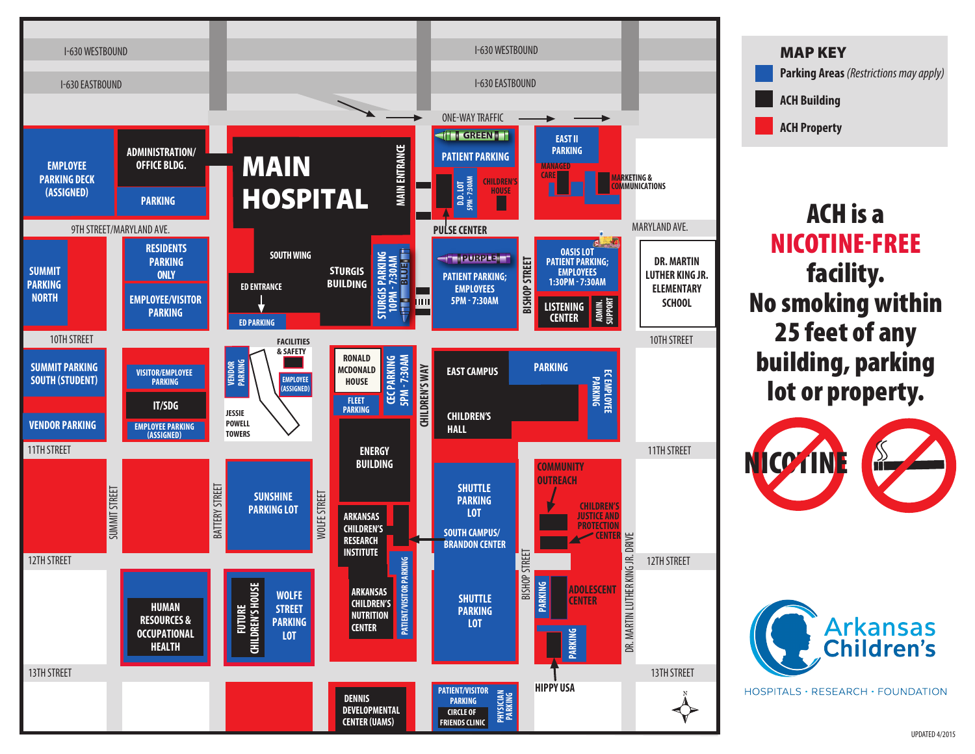



ACH is a NICOTINE-FREE facility. No smoking within 25 feet of any building, parking lot or property.





HOSPITALS · RESEARCH · FOUNDATION